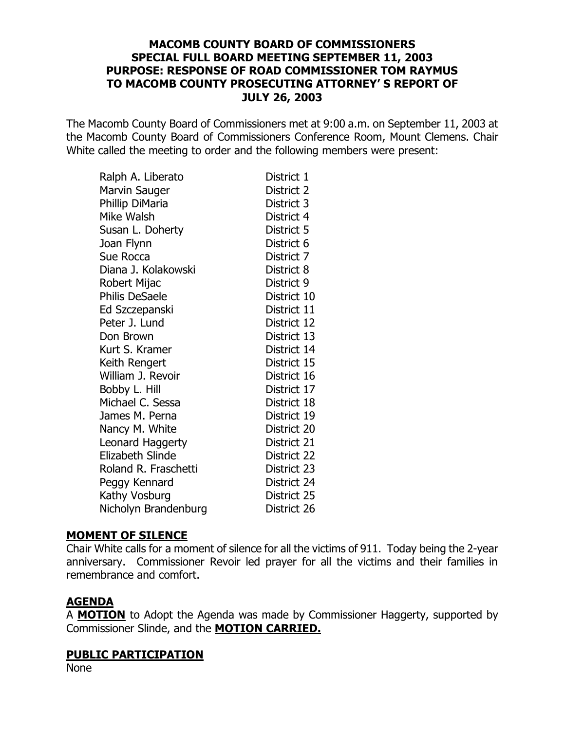### **[MACOMB COUNTY BOARD OF COMMISSIONERS](http://pdf.iteksoft.com/modules.php?op=modload&name=Sections&file=index&req=viewarticle&artid=4) SPECIAL FULL BOARD MEETING SEPTEMBER 11, 2003 PURPOSE: RESPONSE OF ROAD COMMISSIONER TOM RAYMUS TO MACOMB COUNTY PROSECUTING ATTORNEY' S REPORT OF JULY 26, 2003**

The Macomb County Board of Commissioners met at 9:00 a.m. on September 11, 2003 at the Macomb County Board of Commissioners Conference Room, Mount Clemens. Chair White called the meeting to order and the following members were present:

| Ralph A. Liberato       | District 1  |
|-------------------------|-------------|
| Marvin Sauger           | District 2  |
| Phillip DiMaria         | District 3  |
| Mike Walsh              | District 4  |
| Susan L. Doherty        | District 5  |
| Joan Flynn              | District 6  |
| Sue Rocca               | District 7  |
| Diana J. Kolakowski     | District 8  |
| Robert Mijac            | District 9  |
| <b>Philis DeSaele</b>   | District 10 |
| Ed Szczepanski          | District 11 |
| Peter J. Lund           | District 12 |
| Don Brown               | District 13 |
| Kurt S. Kramer          | District 14 |
| Keith Rengert           | District 15 |
| William J. Revoir       | District 16 |
| Bobby L. Hill           | District 17 |
| Michael C. Sessa        | District 18 |
| James M. Perna          | District 19 |
| Nancy M. White          | District 20 |
| Leonard Haggerty        | District 21 |
| <b>Elizabeth Slinde</b> | District 22 |
| Roland R. Fraschetti    | District 23 |
| Peggy Kennard           | District 24 |
| Kathy Vosburg           | District 25 |
| Nicholyn Brandenburg    | District 26 |

#### **MOMENT OF SILENCE**

Chair White calls for a moment of silence for all the victims of 911. Today being the 2-year anniversary. Commissioner Revoir led prayer for all the victims and their families in remembrance and comfort.

#### **AGENDA**

A **MOTION** to Adopt the Agenda was made by Commissioner Haggerty, supported by Commissioner Slinde, and the **MOTION CARRIED.**

#### **PUBLIC PARTICIPATION**

[None](http://www.iteksoft.com/modules.php?op=modload&name=Sections&file=index&req=viewarticle&artid=4)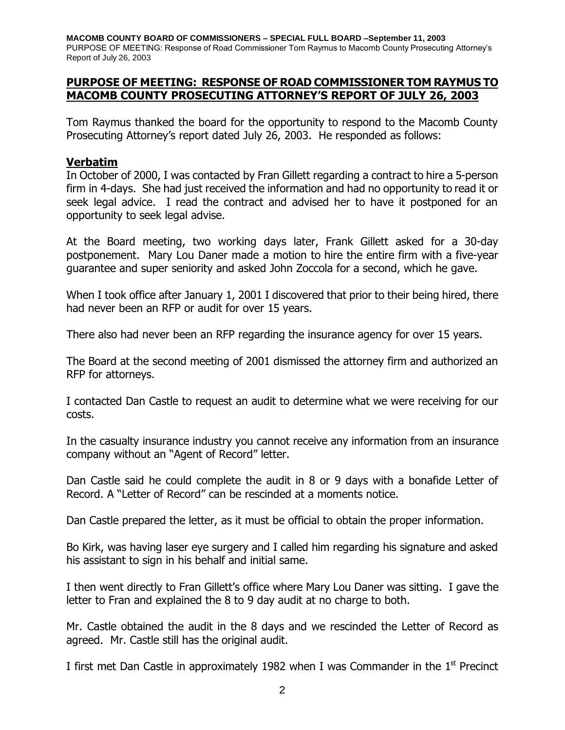**M[ACOMB COUNTY BOARD OF COMMISSIONERS – SPECIAL FULL BOARD –September 11, 2003](http://pdf.iteksoft.com/modules.php?op=modload&name=Sections&file=index&req=viewarticle&artid=4)** PURPOSE OF MEETING: Response of Road Commissioner Tom Raymus to Macomb County Prosecuting Attorney's Report of July 26, 2003

### **PURPOSE OF MEETING: RESPONSE OF ROAD COMMISSIONER TOM RAYMUS TO MACOMB COUNTY PROSECUTING ATTORNEY'S REPORT OF JULY 26, 2003**

Tom Raymus thanked the board for the opportunity to respond to the Macomb County Prosecuting Attorney's report dated July 26, 2003. He responded as follows:

### **Verbatim**

In October of 2000, I was contacted by Fran Gillett regarding a contract to hire a 5-person firm in 4-days. She had just received the information and had no opportunity to read it or seek legal advice. I read the contract and advised her to have it postponed for an opportunity to seek legal advise.

At the Board meeting, two working days later, Frank Gillett asked for a 30-day postponement. Mary Lou Daner made a motion to hire the entire firm with a five-year guarantee and super seniority and asked John Zoccola for a second, which he gave.

When I took office after January 1, 2001 I discovered that prior to their being hired, there had never been an RFP or audit for over 15 years.

There also had never been an RFP regarding the insurance agency for over 15 years.

The Board at the second meeting of 2001 dismissed the attorney firm and authorized an RFP for attorneys.

I contacted Dan Castle to request an audit to determine what we were receiving for our costs.

In the casualty insurance industry you cannot receive any information from an insurance company without an "Agent of Record" letter.

Dan Castle said he could complete the audit in 8 or 9 days with a bonafide Letter of Record. A "Letter of Record" can be rescinded at a moments notice.

Dan Castle prepared the letter, as it must be official to obtain the proper information.

Bo Kirk, was having laser eye surgery and I called him regarding his signature and asked his assistant to sign in his behalf and initial same.

I then went directly to Fran Gillett's office where Mary Lou Daner was sitting. I gave the letter to Fran and explained the 8 to 9 day audit at no charge to both.

Mr. Castle obtained the audit in the 8 days and we rescinded the Letter of Record as agreed. Mr. Castle still has the original audit.

I first met Dan Castle in approximately 1982 when I was Commander in the  $1<sup>st</sup>$  Precinct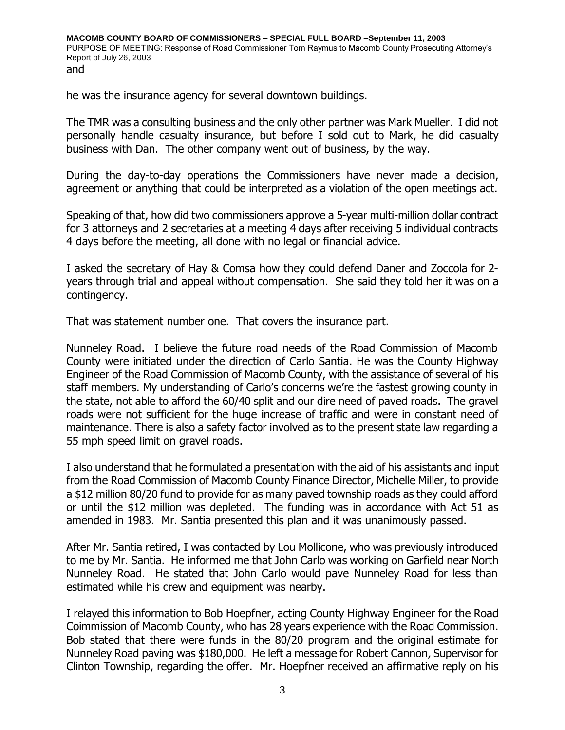he was the insurance agency for several downtown buildings.

The TMR was a consulting business and the only other partner was Mark Mueller. I did not personally handle casualty insurance, but before I sold out to Mark, he did casualty business with Dan. The other company went out of business, by the way.

During the day-to-day operations the Commissioners have never made a decision, agreement or anything that could be interpreted as a violation of the open meetings act.

Speaking of that, how did two commissioners approve a 5-year multi-million dollar contract for 3 attorneys and 2 secretaries at a meeting 4 days after receiving 5 individual contracts 4 days before the meeting, all done with no legal or financial advice.

I asked the secretary of Hay & Comsa how they could defend Daner and Zoccola for 2 years through trial and appeal without compensation. She said they told her it was on a contingency.

That was statement number one. That covers the insurance part.

Nunneley Road. I believe the future road needs of the Road Commission of Macomb County were initiated under the direction of Carlo Santia. He was the County Highway Engineer of the Road Commission of Macomb County, with the assistance of several of his staff members. My understanding of Carlo's concerns we're the fastest growing county in the state, not able to afford the 60/40 split and our dire need of paved roads. The gravel roads were not sufficient for the huge increase of traffic and were in constant need of maintenance. There is also a safety factor involved as to the present state law regarding a 55 mph speed limit on gravel roads.

I also understand that he formulated a presentation with the aid of his assistants and input from the Road Commission of Macomb County Finance Director, Michelle Miller, to provide a \$12 million 80/20 fund to provide for as many paved township roads as they could afford or until the \$12 million was depleted. The funding was in accordance with Act 51 as amended in 1983. Mr. Santia presented this plan and it was unanimously passed.

After Mr. Santia retired, I was contacted by Lou Mollicone, who was previously introduced to me by Mr. Santia. He informed me that John Carlo was working on Garfield near North Nunneley Road. He stated that John Carlo would pave Nunneley Road for less than estimated while his crew and equipment was nearby.

I relayed this information to Bob Hoepfner, acting County Highway Engineer for the Road Coimmission of Macomb County, who has 28 years experience with the Road Commission. Bob stated that there were funds in the 80/20 program and the original estimate for Nunneley Road paving was \$180,000. He left a message for Robert Cannon, Supervisor for Clinton Township, regarding the offer. Mr. Hoepfner received an affirmative reply on his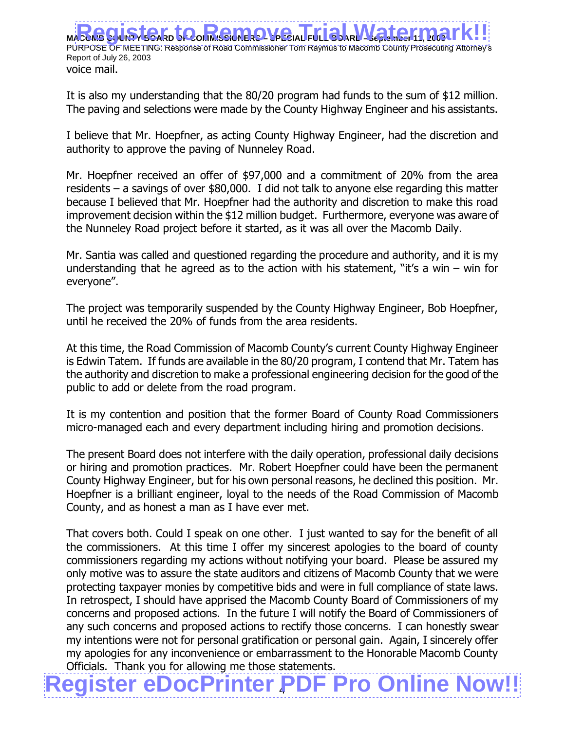MACOMBRE – SPECIAL FULL PURPOSE OF MEETING: Response of Road Commissioner Tom Raymus to Macomb County Prosecuting Attorney's Report of July 26, 2003 voice mail. **Register to Remove Trial Matermark!!** 

It is also my understanding that the 80/20 program had funds to the sum of \$12 million. The paving and selections were made by the County Highway Engineer and his assistants.

I believe that Mr. Hoepfner, as acting County Highway Engineer, had the discretion and authority to approve the paving of Nunneley Road.

Mr. Hoepfner received an offer of \$97,000 and a commitment of 20% from the area residents – a savings of over \$80,000. I did not talk to anyone else regarding this matter because I believed that Mr. Hoepfner had the authority and discretion to make this road improvement decision within the \$12 million budget. Furthermore, everyone was aware of the Nunneley Road project before it started, as it was all over the Macomb Daily.

Mr. Santia was called and questioned regarding the procedure and authority, and it is my understanding that he agreed as to the action with his statement, "it's a win – win for everyone".

The project was temporarily suspended by the County Highway Engineer, Bob Hoepfner, until he received the 20% of funds from the area residents.

At this time, the Road Commission of Macomb County's current County Highway Engineer is Edwin Tatem. If funds are available in the 80/20 program, I contend that Mr. Tatem has the authority and discretion to make a professional engineering decision for the good of the public to add or delete from the road program.

It is my contention and position that the former Board of County Road Commissioners micro-managed each and every department including hiring and promotion decisions.

The present Board does not interfere with the daily operation, professional daily decisions or hiring and promotion practices. Mr. Robert Hoepfner could have been the permanent County Highway Engineer, but for his own personal reasons, he declined this position. Mr. Hoepfner is a brilliant engineer, loyal to the needs of the Road Commission of Macomb County, and as honest a man as I have ever met.

That covers both. Could I speak on one other. I just wanted to say for the benefit of all the commissioners. At this time I offer my sincerest apologies to the board of county commissioners regarding my actions without notifying your board. Please be assured my only motive was to assure the state auditors and citizens of Macomb County that we were protecting taxpayer monies by competitive bids and were in full compliance of state laws. In retrospect, I should have apprised the Macomb County Board of Commissioners of my concerns and proposed actions. In the future I will notify the Board of Commissioners of any such concerns and proposed actions to rectify those concerns. I can honestly swear my intentions were not for personal gratification or personal gain. Again, I sincerely offer my apologies for any inconvenience or embarrassment to the Honorable Macomb County Officials. Thank you for allowing me those statements.

4 **[Register eDocPrinter PDF Pro Online Now!!](http://www.iteksoft.com/modules.php?op=modload&name=Sections&file=index&req=viewarticle&artid=4)**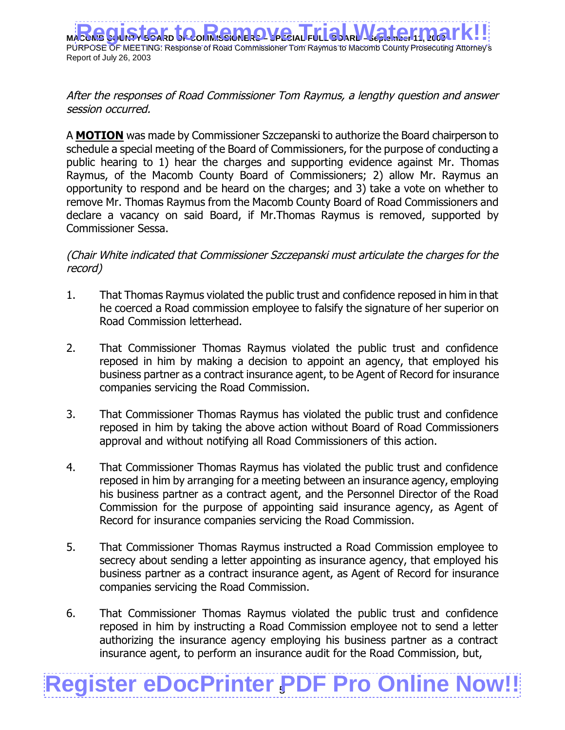**MACOMBRE – SPECIAL FULL BOARD** PURPOSE OF MEETING: Response of Road Commissioner Tom Raymus to Macomb County Prosecuting Attorney's Report of July 26, 2003 **Register to Remove Trial Matermark!!** 

After the responses of Road Commissioner Tom Raymus, a lengthy question and answer session occurred.

A **MOTION** was made by Commissioner Szczepanski to authorize the Board chairperson to schedule a special meeting of the Board of Commissioners, for the purpose of conducting a public hearing to 1) hear the charges and supporting evidence against Mr. Thomas Raymus, of the Macomb County Board of Commissioners; 2) allow Mr. Raymus an opportunity to respond and be heard on the charges; and 3) take a vote on whether to remove Mr. Thomas Raymus from the Macomb County Board of Road Commissioners and declare a vacancy on said Board, if Mr.Thomas Raymus is removed, supported by Commissioner Sessa.

(Chair White indicated that Commissioner Szczepanski must articulate the charges for the record)

- 1. That Thomas Raymus violated the public trust and confidence reposed in him in that he coerced a Road commission employee to falsify the signature of her superior on Road Commission letterhead.
- 2. That Commissioner Thomas Raymus violated the public trust and confidence reposed in him by making a decision to appoint an agency, that employed his business partner as a contract insurance agent, to be Agent of Record for insurance companies servicing the Road Commission.
- 3. That Commissioner Thomas Raymus has violated the public trust and confidence reposed in him by taking the above action without Board of Road Commissioners approval and without notifying all Road Commissioners of this action.
- 4. That Commissioner Thomas Raymus has violated the public trust and confidence reposed in him by arranging for a meeting between an insurance agency, employing his business partner as a contract agent, and the Personnel Director of the Road Commission for the purpose of appointing said insurance agency, as Agent of Record for insurance companies servicing the Road Commission.
- 5. That Commissioner Thomas Raymus instructed a Road Commission employee to secrecy about sending a letter appointing as insurance agency, that employed his business partner as a contract insurance agent, as Agent of Record for insurance companies servicing the Road Commission.
- 6. That Commissioner Thomas Raymus violated the public trust and confidence reposed in him by instructing a Road Commission employee not to send a letter authorizing the insurance agency employing his business partner as a contract insurance agent, to perform an insurance audit for the Road Commission, but,

# 5 **[Register eDocPrinter PDF Pro Online Now!!](http://www.iteksoft.com/modules.php?op=modload&name=Sections&file=index&req=viewarticle&artid=4)**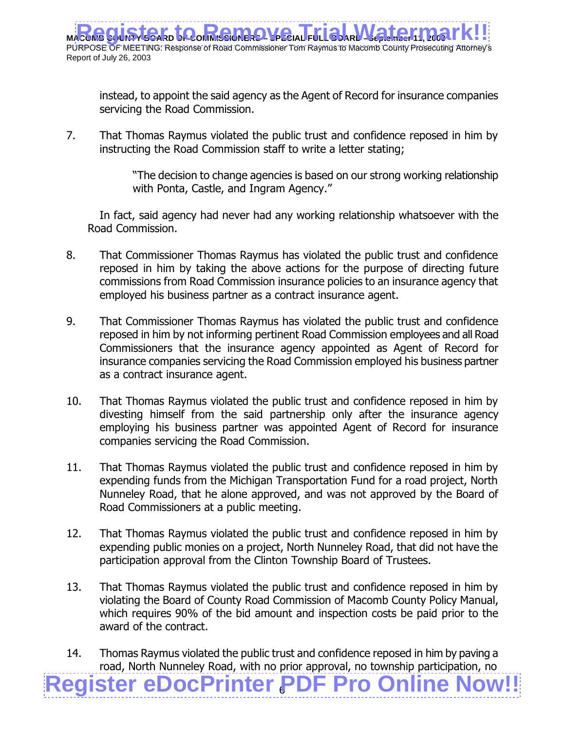**MACOMB COUNTY BOARD OF COMMISSIONERS – SPECIAL FULL BOARD –September 11, 2003** PURPOSE OF MEETING: Response of Road Commissioner Tom Raymus to Macomb County Prosecuting Attorney's Report of July 26, 2003 **Register to Remove Trial Matermark!!** 

instead, to appoint the said agency as the Agent of Record for insurance companies servicing the Road Commission.

7. That Thomas Raymus violated the public trust and confidence reposed in him by instructing the Road Commission staff to write a letter stating;

> "The decision to change agencies is based on our strong working relationship with Ponta, Castle, and Ingram Agency."

In fact, said agency had never had any working relationship whatsoever with the Road Commission.

- 8. That Commissioner Thomas Raymus has violated the public trust and confidence reposed in him by taking the above actions for the purpose of directing future commissions from Road Commission insurance policies to an insurance agency that employed his business partner as a contract insurance agent.
- 9. That Commissioner Thomas Raymus has violated the public trust and confidence reposed in him by not informing pertinent Road Commission employees and all Road Commissioners that the insurance agency appointed as Agent of Record for insurance companies servicing the Road Commission employed his business partner as a contract insurance agent.
- 10. That Thomas Raymus violated the public trust and confidence reposed in him by divesting himself from the said partnership only after the insurance agency employing his business partner was appointed Agent of Record for insurance companies servicing the Road Commission.
- 11. That Thomas Raymus violated the public trust and confidence reposed in him by expending funds from the Michigan Transportation Fund for a road project, North Nunneley Road, that he alone approved, and was not approved by the Board of Road Commissioners at a public meeting.
- 12. That Thomas Raymus violated the public trust and confidence reposed in him by expending public monies on a project, North Nunneley Road, that did not have the participation approval from the Clinton Township Board of Trustees.
- 13. That Thomas Raymus violated the public trust and confidence reposed in him by violating the Board of County Road Commission of Macomb County Policy Manual, which requires 90% of the bid amount and inspection costs be paid prior to the award of the contract.
- 6 **[Register eDocPrinter PDF Pro Online Now!!](http://www.iteksoft.com/modules.php?op=modload&name=Sections&file=index&req=viewarticle&artid=4)** 14. Thomas Raymus violated the public trust and confidence reposed in him by paving a road, North Nunneley Road, with no prior approval, no township participation, no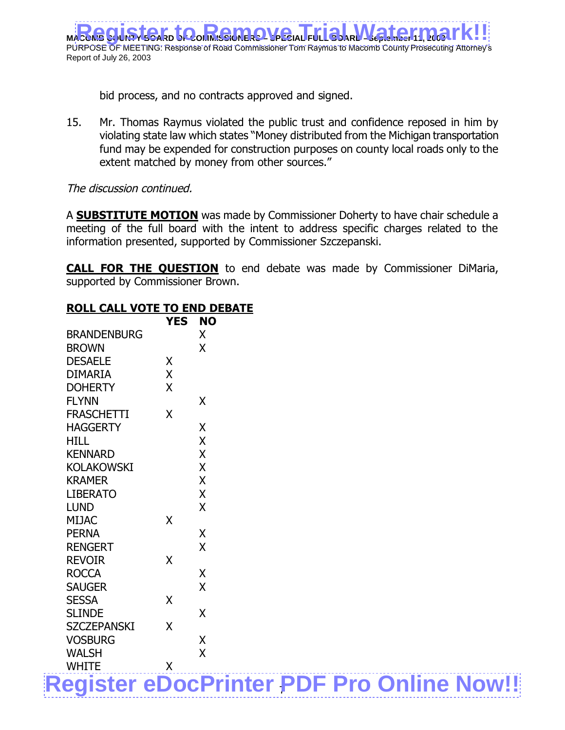**MACOMBRO – SPECIAL FULL** PURPOSE OF MEETING: Response of Road Commissioner Tom Raymus to Macomb County Prosecuting Attorney's Report of July 26, 2003 **Register to Remove Trial Matermark!!** 

bid process, and no contracts approved and signed.

15. Mr. Thomas Raymus violated the public trust and confidence reposed in him by violating state law which states "Money distributed from the Michigan transportation fund may be expended for construction purposes on county local roads only to the extent matched by money from other sources."

## The discussion continued.

A **SUBSTITUTE MOTION** was made by Commissioner Doherty to have chair schedule a meeting of the full board with the intent to address specific charges related to the information presented, supported by Commissioner Szczepanski.

**CALL FOR THE QUESTION** to end debate was made by Commissioner DiMaria, supported by Commissioner Brown.

## **ROLL CALL VOTE TO END DEBATE**

|                                                  | <b>YES</b> | <b>NO</b>               |  |  |
|--------------------------------------------------|------------|-------------------------|--|--|
| <b>BRANDENBURG</b>                               |            | X                       |  |  |
| <b>BROWN</b>                                     |            | X                       |  |  |
| <b>DESAELE</b>                                   | X          |                         |  |  |
| <b>DIMARIA</b>                                   | X          |                         |  |  |
| <b>DOHERTY</b>                                   | X          |                         |  |  |
| <b>FLYNN</b>                                     |            | X                       |  |  |
| <b>FRASCHETTI</b>                                | X          |                         |  |  |
| <b>HAGGERTY</b>                                  |            | X                       |  |  |
| <b>HILL</b>                                      |            | X                       |  |  |
| <b>KENNARD</b>                                   |            | X                       |  |  |
| <b>KOLAKOWSKI</b>                                |            | X                       |  |  |
| <b>KRAMER</b>                                    |            | X                       |  |  |
| <b>LIBERATO</b>                                  |            | X                       |  |  |
| <b>LUND</b>                                      |            | $\mathsf{X}$            |  |  |
| <b>MIJAC</b>                                     | X          |                         |  |  |
| <b>PERNA</b>                                     |            | X                       |  |  |
| <b>RENGERT</b>                                   |            | $\overline{\mathsf{X}}$ |  |  |
| <b>REVOIR</b>                                    | X          |                         |  |  |
| <b>ROCCA</b>                                     |            | X                       |  |  |
| <b>SAUGER</b>                                    |            | X                       |  |  |
| <b>SESSA</b>                                     | X          |                         |  |  |
| <b>SLINDE</b>                                    |            | X                       |  |  |
| <b>SZCZEPANSKI</b>                               | X          |                         |  |  |
| <b>VOSBURG</b>                                   |            | X                       |  |  |
| <b>WALSH</b>                                     |            | $\overline{X}$          |  |  |
| <b>WHITE</b>                                     | X          |                         |  |  |
| <b>Register eDocPrinter PDF Pro Online Now!!</b> |            |                         |  |  |
|                                                  |            |                         |  |  |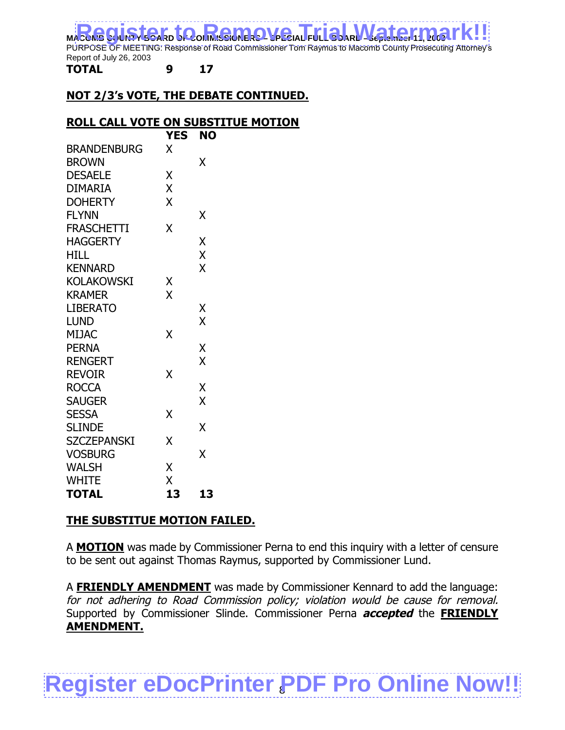MACOMB CUISTER TO REMOVE A FULL BURK MATERINARY!!

PURPOSE OF MEETING: Response of Road Commissioner Tom Raymus to Macomb County Prosecuting Attorney's Report of July 26, 2003

**TOTAL 9 17**

## **NOT 2/3's VOTE, THE DEBATE CONTINUED.**

### **ROLL CALL VOTE ON SUBSTITUE MOTION**

|                    | <b>YES</b> | <b>NO</b> |
|--------------------|------------|-----------|
| <b>BRANDENBURG</b> | X          |           |
| <b>BROWN</b>       |            | Χ         |
| <b>DESAELE</b>     | X          |           |
| DIMARIA            | X          |           |
| <b>DOHERTY</b>     | X          |           |
| <b>FLYNN</b>       |            | χ         |
| <b>FRASCHETTI</b>  | X          |           |
| <b>HAGGERTY</b>    |            | X         |
| <b>HILL</b>        |            | X         |
| <b>KENNARD</b>     |            | X         |
| KOLAKOWSKI         | Χ          |           |
| <b>KRAMER</b>      | X          |           |
| <b>LIBERATO</b>    |            | Χ         |
| LUND               |            | X         |
| <b>MIJAC</b>       | X          |           |
| <b>PERNA</b>       |            | X         |
| <b>RENGERT</b>     |            | X         |
| <b>REVOIR</b>      | X          |           |
| ROCCA              |            | Χ         |
| <b>SAUGER</b>      |            | X         |
| <b>SESSA</b>       | Χ          |           |
| <b>SLINDE</b>      |            | X         |
| <b>SZCZEPANSKI</b> | X          |           |
| <b>VOSBURG</b>     |            | X         |
| <b>WALSH</b>       | X          |           |
| <b>WHITE</b>       | Χ          |           |
| <b>TOTAL</b>       | 13         | 13        |

## **THE SUBSTITUE MOTION FAILED.**

A **MOTION** was made by Commissioner Perna to end this inquiry with a letter of censure to be sent out against Thomas Raymus, supported by Commissioner Lund.

A **FRIENDLY AMENDMENT** was made by Commissioner Kennard to add the language: for not adhering to Road Commission policy; violation would be cause for removal. Supported by Commissioner Slinde. Commissioner Perna **accepted** the **FRIENDLY AMENDMENT.**

# **[Register eDocPrinter PDF Pro Online Now!!](http://www.iteksoft.com/modules.php?op=modload&name=Sections&file=index&req=viewarticle&artid=4)**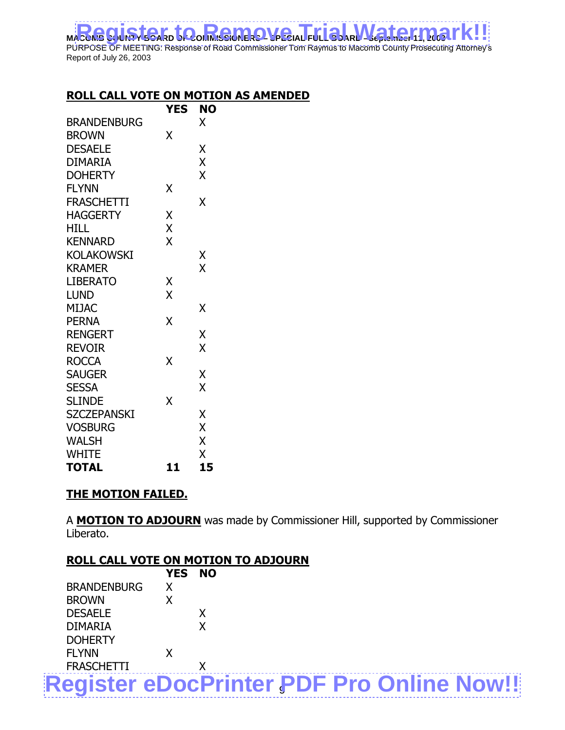MACOMB CUISTER TO REMOVE A FULL BURK MATERINARY!! PURPOSE OF MEETING: Response of Road Commissioner Tom Raymus to Macomb County Prosecuting Attorney's Report of July 26, 2003

## **ROLL CALL VOTE ON MOTION AS AMENDED**

|                    | YES | <b>NO</b> |
|--------------------|-----|-----------|
| <b>BRANDENBURG</b> |     | X         |
| <b>BROWN</b>       | χ   |           |
| <b>DESAELE</b>     |     | Χ         |
| <b>DIMARIA</b>     |     | X         |
| <b>DOHERTY</b>     |     | X         |
| <b>FLYNN</b>       | Χ   |           |
| <b>FRASCHETTI</b>  |     | X         |
| <b>HAGGERTY</b>    | X   |           |
| HILL               | X   |           |
| <b>KENNARD</b>     | X   |           |
| <b>KOLAKOWSKI</b>  |     | Χ         |
| <b>KRAMER</b>      |     | X         |
| LIBERATO           | X   |           |
| <b>LUND</b>        | X   |           |
| <b>MIJAC</b>       |     | χ         |
| <b>PERNA</b>       | X   |           |
| <b>RENGERT</b>     |     | X         |
| <b>REVOIR</b>      |     | X         |
| <b>ROCCA</b>       | X   |           |
| <b>SAUGER</b>      |     | X         |
| <b>SESSA</b>       |     | X         |
| <b>SLINDE</b>      | X   |           |
| <b>SZCZEPANSKI</b> |     | Χ         |
| <b>VOSBURG</b>     |     | X         |
| <b>WALSH</b>       |     | X         |
| <b>WHITE</b>       |     | X         |
| <b>TOTAL</b>       | 11  | 15        |

## **THE MOTION FAILED.**

A **MOTION TO ADJOURN** was made by Commissioner Hill, supported by Commissioner Liberato.

| <b>ROLL CALL VOTE ON MOTION TO ADJOURN</b>       |            |           |  |  |  |
|--------------------------------------------------|------------|-----------|--|--|--|
|                                                  | <b>YES</b> | <b>NO</b> |  |  |  |
| <b>BRANDENBURG</b>                               |            |           |  |  |  |
| <b>BROWN</b>                                     |            |           |  |  |  |
| <b>DESAELE</b>                                   |            |           |  |  |  |
| <b>DIMARIA</b>                                   |            | X         |  |  |  |
| <b>DOHERTY</b>                                   |            |           |  |  |  |
| <b>FLYNN</b>                                     |            |           |  |  |  |
| <b>FRASCHETTI</b>                                |            |           |  |  |  |
| <b>Register eDocPrinter PDF Pro Online Now!!</b> |            |           |  |  |  |
|                                                  |            |           |  |  |  |